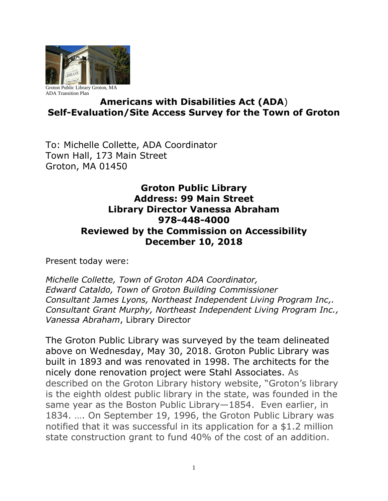

## **Americans with Disabilities Act (ADA**) **Self-Evaluation/Site Access Survey for the Town of Groton**

To: Michelle Collette, ADA Coordinator Town Hall, 173 Main Street Groton, MA 01450

## **Groton Public Library Address: 99 Main Street Library Director Vanessa Abraham 978-448-4000 Reviewed by the Commission on Accessibility December 10, 2018**

Present today were:

*Michelle Collette, Town of Groton ADA Coordinator, Edward Cataldo, Town of Groton Building Commissioner Consultant James Lyons, Northeast Independent Living Program Inc,. Consultant Grant Murphy, Northeast Independent Living Program Inc., Vanessa Abraham*, Library Director

The Groton Public Library was surveyed by the team delineated above on Wednesday, May 30, 2018. Groton Public Library was built in 1893 and was renovated in 1998. The architects for the nicely done renovation project were Stahl Associates. As described on the Groton Library history website, "Groton's library is the eighth oldest public library in the state, was founded in the same year as the Boston Public Library—1854. Even earlier, in 1834. …. On September 19, 1996, the Groton Public Library was notified that it was successful in its application for a \$1.2 million state construction grant to fund 40% of the cost of an addition.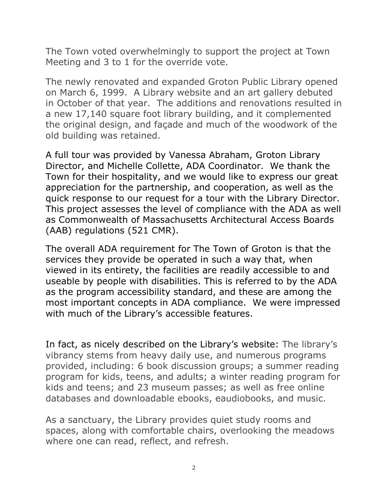The Town voted overwhelmingly to support the project at Town Meeting and 3 to 1 for the override vote.

The newly renovated and expanded Groton Public Library opened on March 6, 1999. A Library website and an art gallery debuted in October of that year. The additions and renovations resulted in a new 17,140 square foot library building, and it complemented the original design, and façade and much of the woodwork of the old building was retained.

A full tour was provided by Vanessa Abraham, Groton Library Director, and Michelle Collette, ADA Coordinator. We thank the Town for their hospitality, and we would like to express our great appreciation for the partnership, and cooperation, as well as the quick response to our request for a tour with the Library Director. This project assesses the level of compliance with the ADA as well as Commonwealth of Massachusetts Architectural Access Boards (AAB) regulations (521 CMR).

The overall ADA requirement for The Town of Groton is that the services they provide be operated in such a way that, when viewed in its entirety, the facilities are readily accessible to and useable by people with disabilities. This is referred to by the ADA as the program accessibility standard, and these are among the most important concepts in ADA compliance. We were impressed with much of the Library's accessible features.

In fact, as nicely described on the Library's website: The library's vibrancy stems from heavy daily use, and numerous programs provided, including: 6 book discussion groups; a summer reading program for kids, teens, and adults; a winter reading program for kids and teens; and 23 museum passes; as well as free online databases and downloadable ebooks, eaudiobooks, and music.

As a sanctuary, the Library provides quiet study rooms and spaces, along with comfortable chairs, overlooking the meadows where one can read, reflect, and refresh.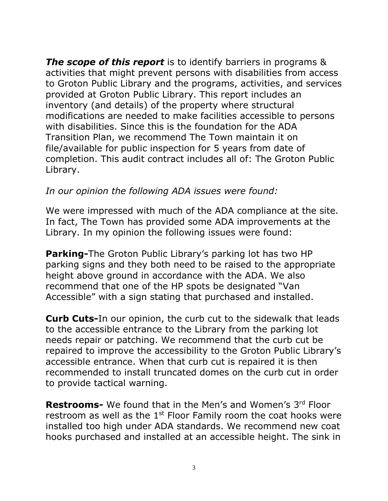*The scope of this report* is to identify barriers in programs & activities that might prevent persons with disabilities from access to Groton Public Library and the programs, activities, and services provided at Groton Public Library. This report includes an inventory (and details) of the property where structural modifications are needed to make facilities accessible to persons with disabilities. Since this is the foundation for the ADA Transition Plan, we recommend The Town maintain it on file/available for public inspection for 5 years from date of completion. This audit contract includes all of: The Groton Public Library.

## *In our opinion the following ADA issues were found:*

We were impressed with much of the ADA compliance at the site. In fact, The Town has provided some ADA improvements at the Library. In my opinion the following issues were found:

**Parking-**The Groton Public Library's parking lot has two HP parking signs and they both need to be raised to the appropriate height above ground in accordance with the ADA. We also recommend that one of the HP spots be designated "Van Accessible" with a sign stating that purchased and installed.

**Curb Cuts-**In our opinion, the curb cut to the sidewalk that leads to the accessible entrance to the Library from the parking lot needs repair or patching. We recommend that the curb cut be repaired to improve the accessibility to the Groton Public Library's accessible entrance. When that curb cut is repaired it is then recommended to install truncated domes on the curb cut in order to provide tactical warning.

**Restrooms-** We found that in the Men's and Women's 3rd Floor restroom as well as the  $1<sup>st</sup>$  Floor Family room the coat hooks were installed too high under ADA standards. We recommend new coat hooks purchased and installed at an accessible height. The sink in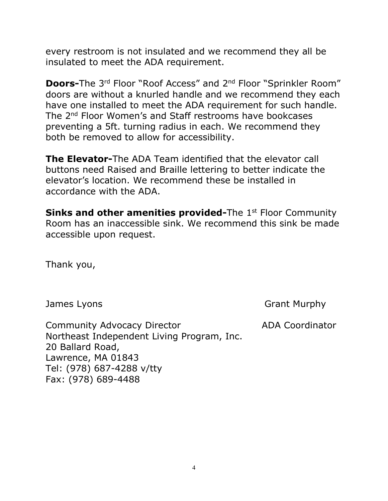every restroom is not insulated and we recommend they all be insulated to meet the ADA requirement.

**Doors-**The 3<sup>rd</sup> Floor "Roof Access" and 2<sup>nd</sup> Floor "Sprinkler Room" doors are without a knurled handle and we recommend they each have one installed to meet the ADA requirement for such handle. The 2nd Floor Women's and Staff restrooms have bookcases preventing a 5ft. turning radius in each. We recommend they both be removed to allow for accessibility.

**The Elevator-**The ADA Team identified that the elevator call buttons need Raised and Braille lettering to better indicate the elevator's location. We recommend these be installed in accordance with the ADA.

**Sinks and other amenities provided-The 1st Floor Community** Room has an inaccessible sink. We recommend this sink be made accessible upon request.

Thank you,

James Lyons **Grant Murphy** 

Community Advocacy Director **ADA Coordinator** Northeast Independent Living Program, Inc. 20 Ballard Road, Lawrence, MA 01843 Tel: (978) 687-4288 v/tty Fax: (978) 689-4488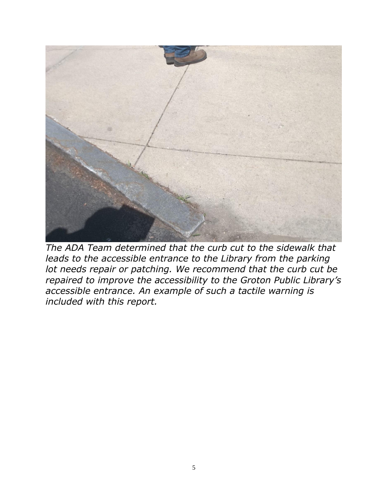

*The ADA Team determined that the curb cut to the sidewalk that*  leads to the accessible entrance to the Library from the parking *lot needs repair or patching. We recommend that the curb cut be repaired to improve the accessibility to the Groton Public Library's accessible entrance. An example of such a tactile warning is included with this report.*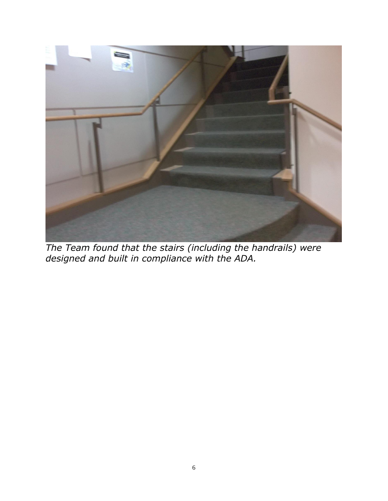

*The Team found that the stairs (including the handrails) were designed and built in compliance with the ADA.*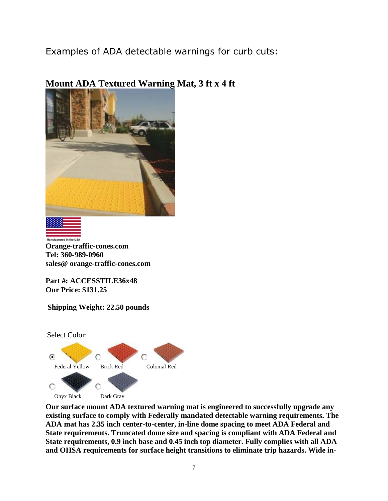Examples of ADA detectable warnings for curb cuts:



## **Mount ADA Textured Warning Mat, 3 ft x 4 ft**



**Orange-traffic-cones.com Tel: 360-989-0960 sales@ orange-traffic-cones.com**

**Part #: ACCESSTILE36x48 Our Price: \$131.25** 

**Shipping Weight: 22.50 pounds** 



**Our surface mount ADA textured warning mat is engineered to successfully upgrade any existing surface to comply with Federally mandated detectable warning requirements. The ADA mat has 2.35 inch center-to-center, in-line dome spacing to meet ADA Federal and State requirements. Truncated dome size and spacing is compliant with ADA Federal and State requirements, 0.9 inch base and 0.45 inch top diameter. Fully complies with all ADA and OHSA requirements for surface height transitions to eliminate trip hazards. Wide in-**